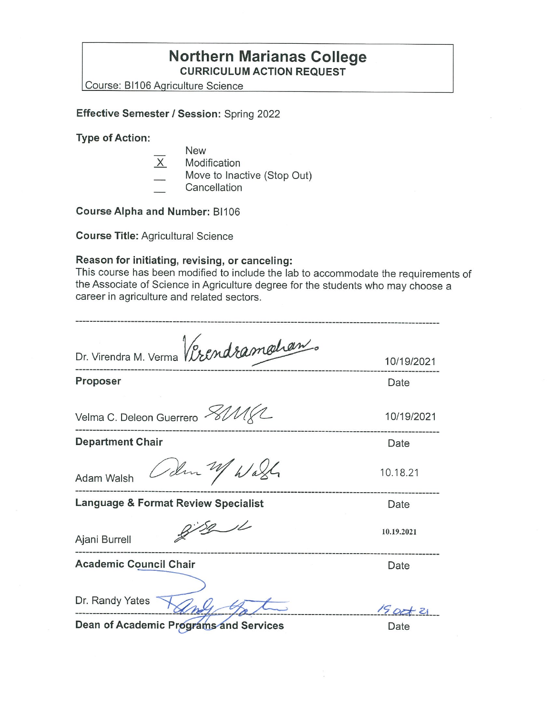## **Northern Marianas College CURRICULUM ACTION REQUEST**

Course: BI106 Aariculture Science

**Effective Semester/ Session:** Spring 2022

**Type of Action:** 

- New
- $X$  Modification
- Move to Inactive (Stop Out)
- **Cancellation**

**Course Alpha and Number:** BI106

**Course Title:** Agricultural Science

## **Reason for initiating, revising, or canceling:**

This course has been modified to include the lab to accommodate the requirements of the Associate of Science in Agriculture degree for the students who may choose a career in agriculture and related sectors.

| Dr. Virendra M. Verma Verendramahan.           |             |
|------------------------------------------------|-------------|
|                                                | 10/19/2021  |
| Proposer                                       | Date        |
|                                                |             |
| Velma C. Deleon Guerrero XIMXL                 | 10/19/2021  |
| <b>Department Chair</b>                        | Date        |
| Colm 2 Wash<br>Adam Walsh                      | 10.18.21    |
| <b>Language &amp; Format Review Specialist</b> | Date        |
| Ajani Burrell                                  | 10.19.2021  |
| <b>Academic Council Chair</b>                  | Date        |
|                                                |             |
| Dr. Randy Yates                                | $15$ oct 21 |

**Dean of Academic Programs and Services Date**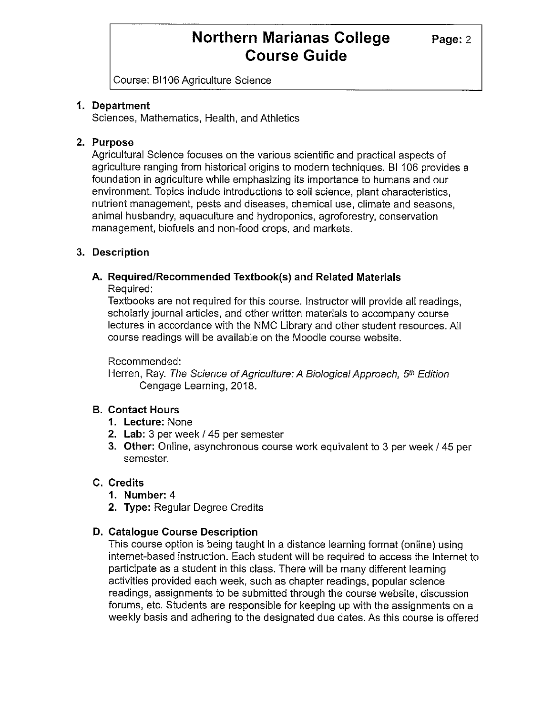Course: Bl 106 Agriculture Science

### **1. Department**

Sciences, Mathematics, Health, and Athletics

### **2. Purpose**

Agricultural Science focuses on the various scientific and practical aspects of agriculture ranging from historical origins to modern techniques. Bl 106 provides a foundation in agriculture while emphasizing its importance to humans and our environment. Topics include introductions to soil science, plant characteristics, nutrient management, pests and diseases, chemical use, climate and seasons, animal husbandry, aquaculture and hydroponics, agroforestry, conservation management, biofuels and non-food crops, and markets.

## **3. Description**

## **A. Required/Recommended Textbook(s) and Related Materials**

Required:

Textbooks are not required for this course. Instructor will provide all readings, scholarly journal articles, and other written materials to accompany course lectures in accordance with the NMC Library and other student resources. All course readings will be available on the Moodie course website.

Recommended:

Herren, Ray. The Science of Agriculture: A Biological Approach, 5<sup>th</sup> Edition Cengage Learning, 2018.

## **B. Contact Hours**

- **1. Lecture:** None
- **2. Lab:** 3 per week/ 45 per semester
- **3. Other:** Online, asynchronous course work equivalent to 3 per week/ 45 per semester.

## **C. Credits**

- **1. Number:** 4
- **2. Type:** Regular Degree Credits
- **D. Catalogue Course Description**

This course option is being taught in a distance learning format (online) using internet-based instruction. Each student will be required to access the Internet to participate as a student in this class. There will be many different learning activities provided each week, such as chapter readings, popular science readings, assignments to be submitted through the course website, discussion forums, etc. Students are responsible for keeping up with the assignments on a weekly basis and adhering to the designated due dates. As this course is offered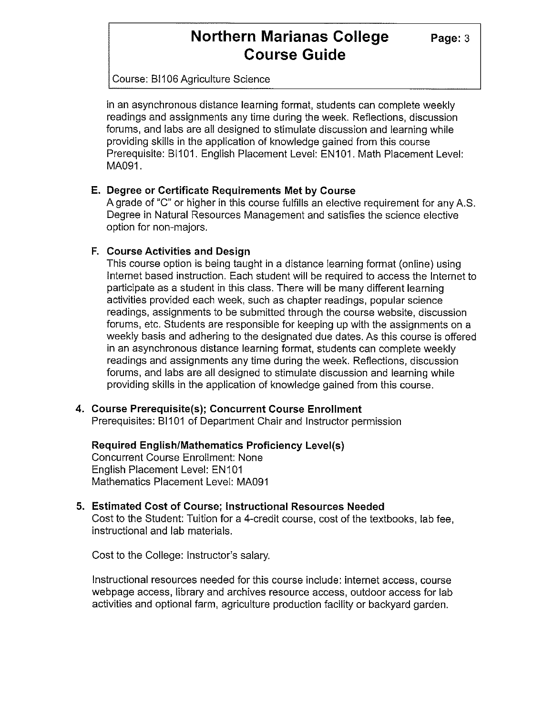Course: Bl 106 Agriculture Science

in an asynchronous distance learning format, students can complete weekly readings and assignments any time during the week. Reflections, discussion forums, and labs are all designed to stimulate discussion and learning while providing skills in the application of knowledge gained from this course Prerequisite: BI101. English Placement Level: EN101. Math Placement Level: MA091.

#### **E. Degree or Certificate Requirements Met by Course**

A grade of "C" or higher in this course fulfills an elective requirement for any A.S. Degree in Natural Resources Management and satisfies the science elective option for non-majors.

## **F. Course Activities and Design**

This course option is being taught in a distance learning format (online) using Internet based instruction. Each student will be required to access the Internet to participate as a student in this class. There will be many different learning activities provided each week, such as chapter readings, popular science readings, assignments to be submitted through the course website, discussion forums, etc. Students are responsible for keeping up with the assignments on a weekly basis and adhering to the designated due dates. As this course is offered in an asynchronous distance learning format, students can complete weekly readings and assignments any time during the week. Reflections, discussion forums, and labs are all designed to stimulate discussion and learning while providing skills in the application of knowledge gained from this course.

## **4. Course Prerequisite(s); Concurrent Course Enrollment**

Prerequisites: BI101 of Department Chair and Instructor permission

**Required English/Mathematics Proficiency Level(s)**  Concurrent Course Enrollment: None English Placement Level: EN101 Mathematics Placement Level: MA091

## **5. Estimated Cost of Course; Instructional Resources Needed**

Cost to the Student: Tuition for a 4-credit course, cost of the textbooks, lab fee, instructional and lab materials.

Cost to the College: Instructor's salary.

Instructional resources needed for this course inciude: internet access, course webpage access, library and archives resource access, outdoor access for lab activities and optional farm, agriculture production facility or backyard garden.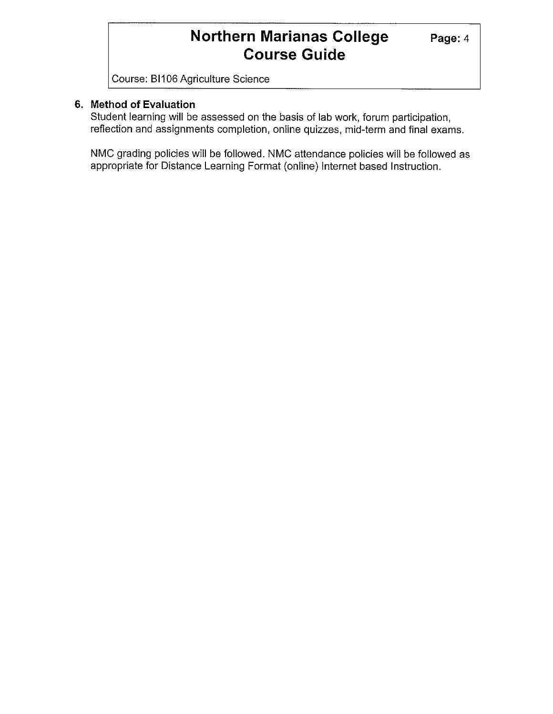Course: Bl 106 Agriculture Science

## **6. Method of Evaluation**

Student learning will be assessed on the basis of lab work, forum participation, reflection and assignments completion, online quizzes, mid-term and final exams.

NMC grading policies will be followed. NMC attendance policies will be followed as appropriate for Distance Learning Format (online) Internet based Instruction.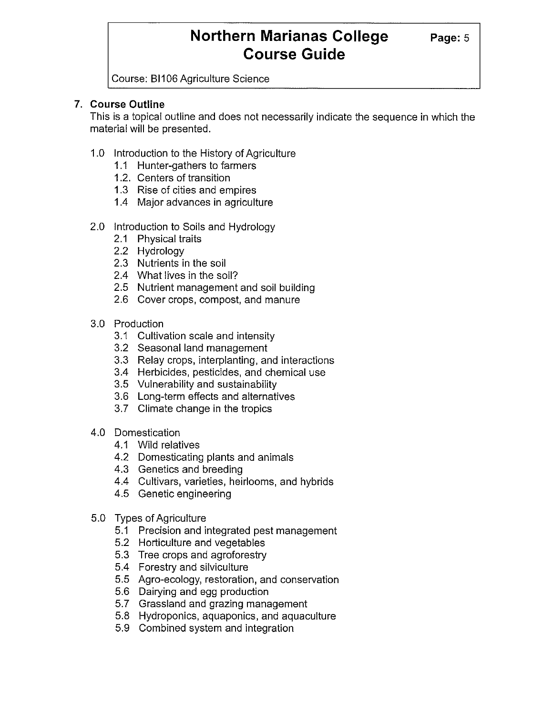Course: Bl 106 Agriculture Science

## **7. Course Outline**

This is a topical outline and does not necessarily indicate the sequence in which the material will be presented.

- 1.0 Introduction to the History of Agriculture
	- 1.1 Hunter-gathers to farmers
	- 1.2. Centers of transition
	- 1.3 Rise of cities and empires
	- 1.4 Major advances in agriculture
- 2.0 Introduction to Soils and Hydrology
	- 2.1 Physical traits
	- 2.2 Hydrology
	- 2.3 Nutrients in the soil
	- 2.4 What lives in the soil?
	- 2.5 Nutrient management and soil building
	- 2.6 Cover crops, compost, and manure
- 3.0 Production
	- 3.1 Cultivation scale and intensity
	- 3.2 Seasonal land management
	- 3.3 Relay crops, interplanting, and interactions
	- 3.4 Herbicides, pesticides, and chemical use
	- 3.5 Vulnerability and sustainability
	- 3.6 Long-term effects and alternatives
	- 3.7 Climate change in the tropics
- 4.0 Domestication
	- 4.1 Wild relatives
	- 4.2 Domesticating plants and animals
	- 4.3 Genetics and breeding
	- 4.4 Cultivars, varieties, heirlooms, and hybrids
	- 4.5 Genetic engineering
- 5.0 Types of Agriculture
	- 5.1 Precision and integrated pest management
	- 5.2 Horticulture and vegetables
	- 5.3 Tree crops and agroforestry
	- 5.4 Forestry and silviculture
	- 5.5 Agro-ecology, restoration, and conservation
	- 5.6 Dairying and egg production
	- 5.7 Grassland and grazing management
	- 5.8 Hydroponics, aquaponics, and aquaculture
	- 5.9 Combined system and integration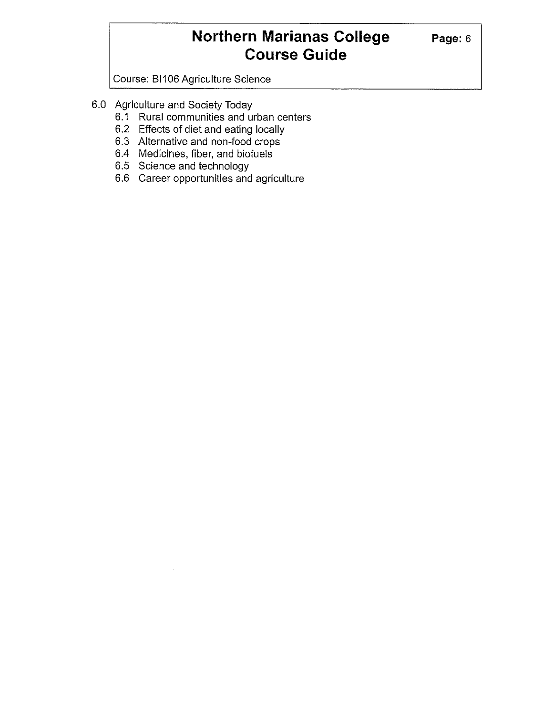Course: BI106 Agriculture Science

- 6.0 Agriculture and Society Today
	- 6.1 Rural communities and urban centers
	- 6.2 Effects of diet and eating locally
	- 6.3 Alternative and non-food crops
	- 6.4 Medicines, fiber, and biofuels
	- 6.5 Science and technology
	- 6.6 Career opportunities and agriculture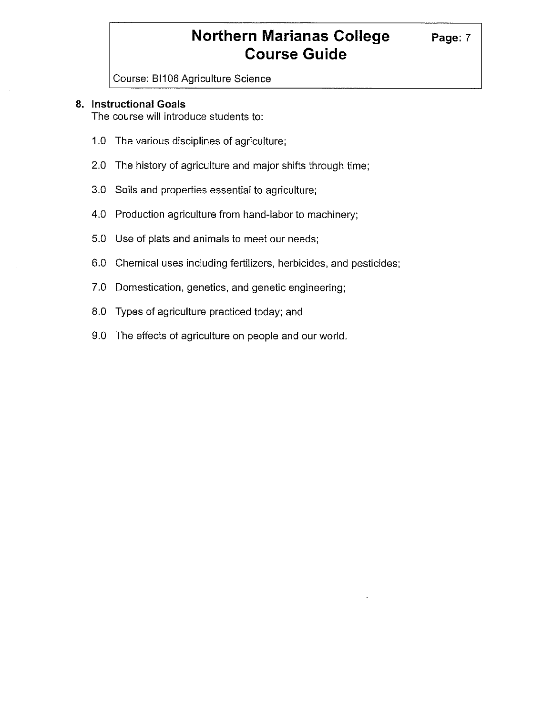Course: BI106 Agriculture Science

### **8. Instructional Goals**

The course will introduce students to:

- 1.0 The various disciplines of agriculture;
- 2.0 The history of agriculture and major shifts through time;
- 3.0 Soils and properties essential to agriculture;
- 4.0 Production agriculture from hand-labor to machinery;
- 5.0 Use of plats and animals to meet our needs;
- 6.0 Chemical uses including fertilizers, herbicides, and pesticides;
- 7.0 Domestication, genetics, and genetic engineering;
- 8.0 Types of agriculture practiced today; and
- 9.0 The effects of agriculture on people and our world.